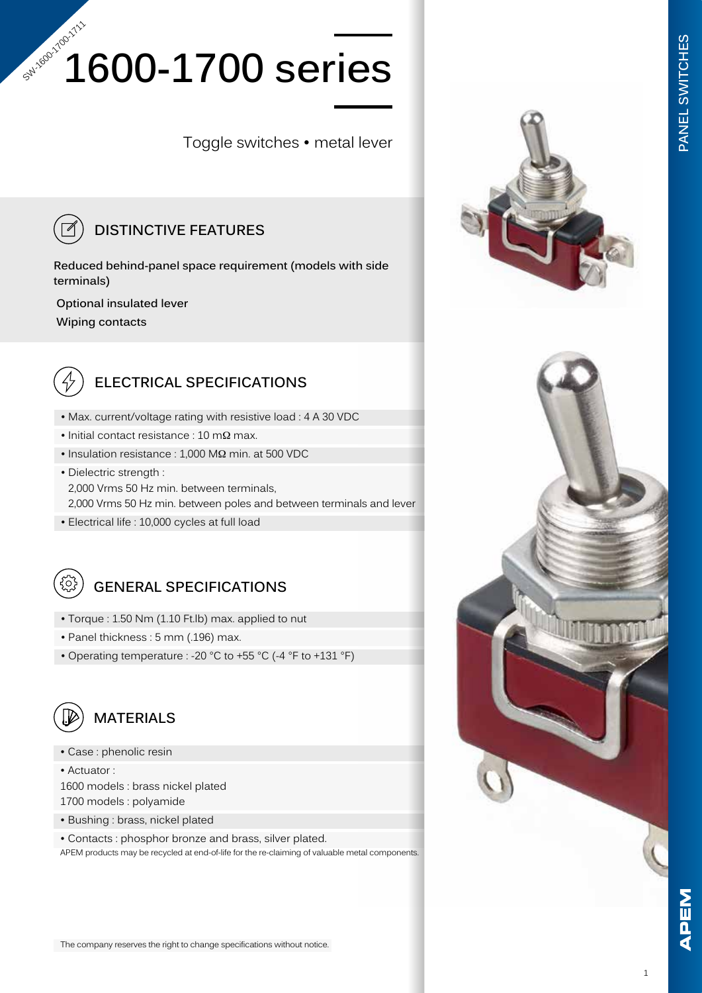# **1600-1700 series** Sul-160-1700-1711

Toggle switches • metal lever



#### **DISTINCTIVE FEATURES**

**Reduced behind-panel space requirement (models with side terminals)**

 **Optional insulated lever**

 **Wiping contacts**



#### **ELECTRICAL SPECIFICATIONS**

- Max. current/voltage rating with resistive load : 4 A 30 VDC
- Initial contact resistance : 10 mΩ max.
- Insulation resistance : 1,000 MΩ min. at 500 VDC
- Dielectric strength : 2,000 Vrms 50 Hz min. between terminals, 2,000 Vrms 50 Hz min. between poles and between terminals and lever
- Electrical life : 10,000 cycles at full load



### **GENERAL SPECIFICATIONS**

- Torque : 1.50 Nm (1.10 Ft.lb) max. applied to nut
- Panel thickness : 5 mm (.196) max.
- Operating temperature : -20 °C to +55 °C (-4 °F to +131 °F)



#### **MATERIALS**

• Case : phenolic resin

• Actuator : 1600 models : brass nickel plated 1700 models : polyamide

- Bushing : brass, nickel plated
- Contacts : phosphor bronze and brass, silver plated.

APEM products may be recycled at end-of-life for the re-claiming of valuable metal components.



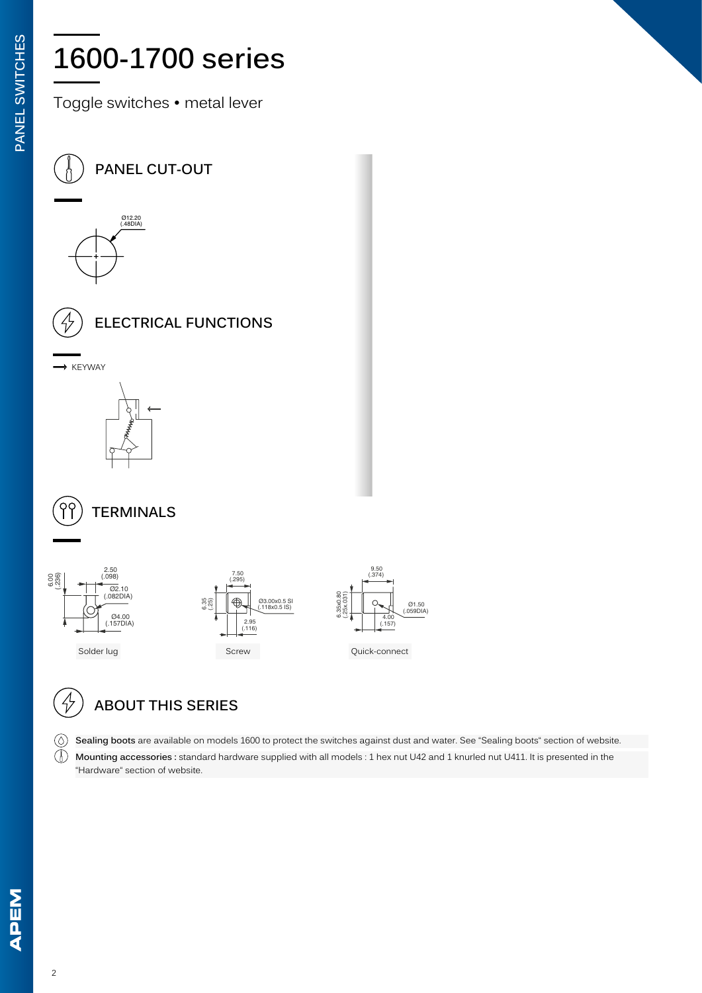# **1600-1700 series**

Toggle switches • metal lever













## **ABOUT THIS SERIES**

**Sealing boots** are available on models 1600 to protect the switches against dust and water. See "Sealing boots" section of website.

 $\mathbb{D}$ **Mounting accessories :** standard hardware supplied with all models : 1 hex nut U42 and 1 knurled nut U411. It is presented in the "Hardware" section of website.